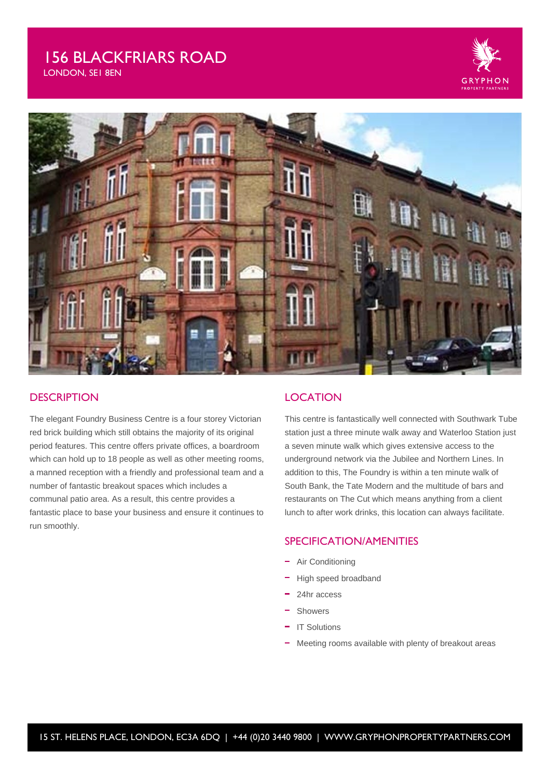# 156 BLACKFRIARS ROAD

LONDON, SE1 8EN





## **DESCRIPTION**

The elegant Foundry Business Centre is a four storey Victorian red brick building which still obtains the majority of its original period features. This centre offers private offices, a boardroom which can hold up to 18 people as well as other meeting rooms, a manned reception with a friendly and professional team and a number of fantastic breakout spaces which includes a communal patio area. As a result, this centre provides a fantastic place to base your business and ensure it continues to run smoothly.

## **LOCATION**

This centre is fantastically well connected with Southwark Tube station just a three minute walk away and Waterloo Station just a seven minute walk which gives extensive access to the underground network via the Jubilee and Northern Lines. In addition to this, The Foundry is within a ten minute walk of South Bank, the Tate Modern and the multitude of bars and restaurants on The Cut which means anything from a client lunch to after work drinks, this location can always facilitate.

## SPECIFICATION/AMENITIES

- Air Conditioning
- High speed broadband
- 24hr access
- Showers
- IT Solutions
- Meeting rooms available with plenty of breakout areas